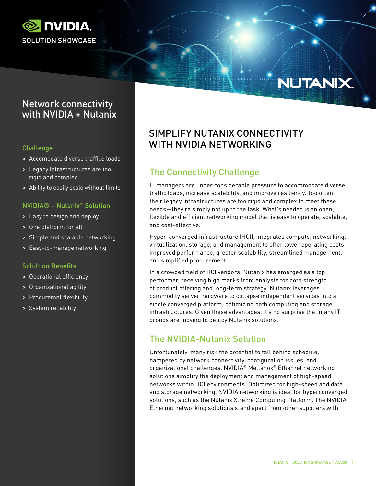

# NUTANIX.

# Network connectivity with NVIDIA + Nutanix

## Challenge

- > Accomodate diverse traffice loads
- > Legacy infrastructures are too rigid and complex
- > Ability to easily scale without limits

### NVIDIA® + Nutanix™ Solution

- > Easy to design and deploy
- > One platform for all
- > Simple and scalable networking
- > Easy-to-manage networking

#### Solultion Benefits

- > Operational efficiency
- > Organizational agility
- > Procuremnt flexibility
- > System reliability

# SIMPLIFY NUTANIX CONNECTIVITY WITH NVIDIA NETWORKING

# The Connectivity Challenge

IT managers are under considerable pressure to accommodate diverse traffic loads, increase scalability, and improve resiliency. Too often, their legacy infrastructures are too rigid and complex to meet these needs—they're simply not up to the task. What's needed is an open, flexible and efficient networking model that is easy to operate, scalable, and cost-effective.

Hyper-converged infrastructure (HCI), integrates compute, networking, virtualization, storage, and management to offer lower operating costs, improved performance, greater scalability, streamlined management, and simplified procurement.

In a crowded field of HCI vendors, Nutanix has emerged as a top performer, receiving high marks from analysts for both strength of product offering and long-term strategy. Nutanix leverages commodity server hardware to collapse independent services into a single converged platform, optimizing both computing and storage infrastructures. Given these advantages, it's no surprise that many IT groups are moving to deploy Nutanix solutions.

# The NVIDIA-Nutanix Solution

Unfortunately, many risk the potential to fall behind schedule, hampered by network connectivity, configuration issues, and organizational challenges. NVIDIA® Mellanox® Ethernet networking solutions simplify the deployment and management of high-speed networks within HCI environments. Optimized for high-speed and data and storage networking, NVIDIA networking is ideal for hyperconverged solutions, such as the Nutanix Xtreme Computing Platform. The NVIDIA Ethernet networking solutions stand apart from other suppliers with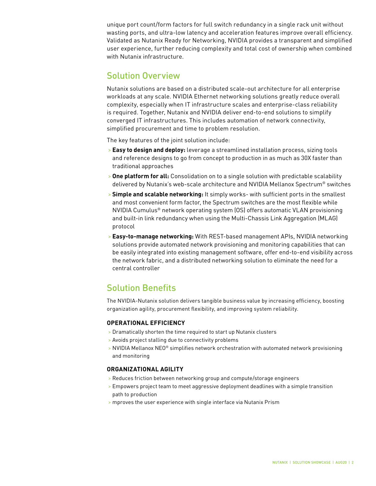unique port count/form factors for full switch redundancy in a single rack unit without wasting ports, and ultra-low latency and acceleration features improve overall efficiency. Validated as Nutanix Ready for Networking, NVIDIA provides a transparent and simplified user experience, further reducing complexity and total cost of ownership when combined with Nutanix infrastructure.

# Solution Overview

Nutanix solutions are based on a distributed scale-out architecture for all enterprise workloads at any scale. NVIDIA Ethernet networking solutions greatly reduce overall complexity, especially when IT infrastructure scales and enterprise-class reliability is required. Together, Nutanix and NVIDIA deliver end-to-end solutions to simplify converged IT infrastructures. This includes automation of network connectivity, simplified procurement and time to problem resolution.

The key features of the joint solution include:

- > **Easy to design and deploy:** leverage a streamlined installation process, sizing tools and reference designs to go from concept to production in as much as 30X faster than traditional approaches
- > **One platform for all:** Consolidation on to a single solution with predictable scalability delivered by Nutanix's web-scale architecture and NVIDIA Mellanox Spectrum® switches
- > **Simple and scalable networking:** It simply works- with sufficient ports in the smallest and most convenient form factor, the Spectrum switches are the most flexible while NVIDIA Cumulus® network operating system (OS) offers automatic VLAN provisioning and built-in link redundancy when using the Multi-Chassis Link Aggregation (MLAG) protocol
- > **Easy-to-manage networking:** With REST-based management APIs, NVIDIA networking solutions provide automated network provisioning and monitoring capabilities that can be easily integrated into existing management software, offer end-to-end visibility across the network fabric, and a distributed networking solution to eliminate the need for a central controller

# Solution Benefits

The NVIDIA-Nutanix solution delivers tangible business value by increasing efficiency, boosting organization agility, procurement flexibility, and improving system reliability.

### **OPERATIONAL EFFICIENCY**

- > Dramatically shorten the time required to start up Nutanix clusters
- > Avoids project stalling due to connectivity problems
- > NVIDIA Mellanox NEO® simplifies network orchestration with automated network provisioning and monitoring

### **ORGANIZATIONAL AGILITY**

- > Reduces friction between networking group and compute/storage engineers
- > Empowers project team to meet aggressive deployment deadlines with a simple transition path to production
- > mproves the user experience with single interface via Nutanix Prism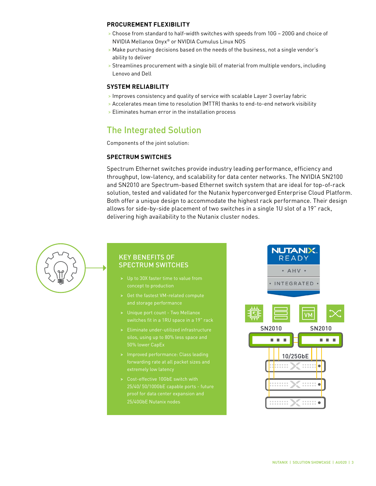#### **PROCUREMENT FLEXIBILITY**

- > Choose from standard to half-width switches with speeds from 10G 200G and choice of NVIDIA Mellanox Onyx® or NVIDIA Cumulus Linux NOS
- > Make purchasing decisions based on the needs of the business, not a single vendor's ability to deliver
- > Streamlines procurement with a single bill of material from multiple vendors, including Lenovo and Dell

#### **SYSTEM RELIABILITY**

- > Improves consistency and quality of service with scalable Layer 3 overlay fabric
- > Accelerates mean time to resolution (MTTR) thanks to end-to-end network visibility
- > Eliminates human error in the installation process

# The Integrated Solution

Components of the joint solution:

#### **SPECTRUM SWITCHES**

Spectrum Ethernet switches provide industry leading performance, efficiency and throughput, low-latency, and scalability for data center networks. The NVIDIA SN2100 and SN2010 are Spectrum-based Ethernet switch system that are ideal for top-of-rack solution, tested and validated for the Nutanix hyperconverged Enterprise Cloud Platform. Both offer a unique design to accommodate the highest rack performance. Their design allows for side-by-side placement of two switches in a single 1U slot of a 19" rack, delivering high availability to the Nutanix cluster nodes.



## KEY BENEFITS OF SPECTRUM SWITCHES

- > Up to 30X faster time to value from
- > Get the fastest VM-related compute and storage performance
- > Unique port count Two Mellanox
- > Eliminate under-utilized infrastructure
- extremely low latency
- > Cost-effective 10GbE switch with proof for data center expansion and 25/40GbE Nutanix nodes

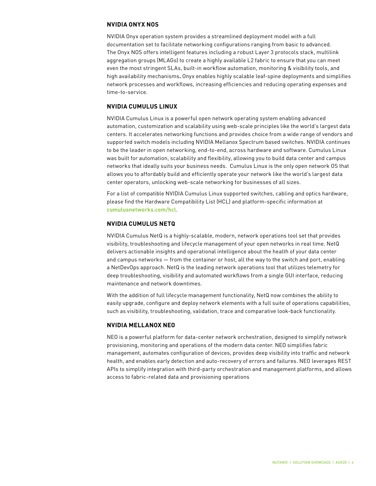#### **NVIDIA ONYX NOS**

NVIDIA Onyx operation system provides a streamlined deployment model with a full documentation set to facilitate networking configurations ranging from basic to advanced. The Onyx NOS offers intelligent features including a robust Layer 3 protocols stack, multilink aggregation groups (MLAGs) to create a highly available L2 fabric to ensure that you can meet even the most stringent SLAs, built-in workflow automation, monitoring & visibility tools, and high availability mechanisms**.** Onyx enables highly scalable leaf-spine deployments and simplifies network processes and workflows, increasing efficiencies and reducing operating expenses and time-to-service.

#### **NVIDIA CUMULUS LINUX**

NVIDIA Cumulus Linux is a powerful open network operating system enabling advanced automation, customization and scalability using web-scale principles like the world's largest data centers. It accelerates networking functions and provides choice from a wide range of vendors and supported switch models including NVIDIA Mellanox Spectrum based switches. NVIDIA continues to be the leader in open networking, end-to-end, across hardware and software. Cumulus Linux was built for automation, scalability and flexibility, allowing you to build data center and campus networks that ideally suits your business needs. Cumulus Linux is the only open network OS that allows you to affordably build and efficiently operate your network like the world's largest data center operators, unlocking web-scale networking for businesses of all sizes.

For a list of compatible NVIDIA Cumulus Linux supported switches, cabling and optics hardware, please find the Hardware Compatibility List (HCL) and platform-specific information at **[cumulusnetworks.com/hcl](http://cumulusnetworks.com/support/hcl)**.

#### **NVIDIA CUMULUS NETQ**

NVIDIA Cumulus NetQ is a highly-scalable, modern, network operations tool set that provides visibility, troubleshooting and lifecycle management of your open networks in real time. NetQ delivers actionable insights and operational intelligence about the health of your data center and campus networks — from the container or host, all the way to the switch and port, enabling a NetDevOps approach. NetQ is the leading network operations tool that utilizes telemetry for deep troubleshooting, visibility and automated workflows from a single GUI interface, reducing maintenance and network downtimes.

With the addition of full lifecycle management functionality, NetQ now combines the ability to easily upgrade, configure and deploy network elements with a full suite of operations capabilities, such as visibility, troubleshooting, validation, trace and comparative look-back functionality.

#### **NVIDIA MELLANOX NEO**

NEO is a powerful platform for data-center network orchestration, designed to simplify network provisioning, monitoring and operations of the modern data center. NEO simplifies fabric management, automates configuration of devices, provides deep visibility into traffic and network health, and enables early detection and auto-recovery of errors and failures. NEO leverages REST APIs to simplify integration with third-party orchestration and management platforms, and allows access to fabric-related data and provisioning operations